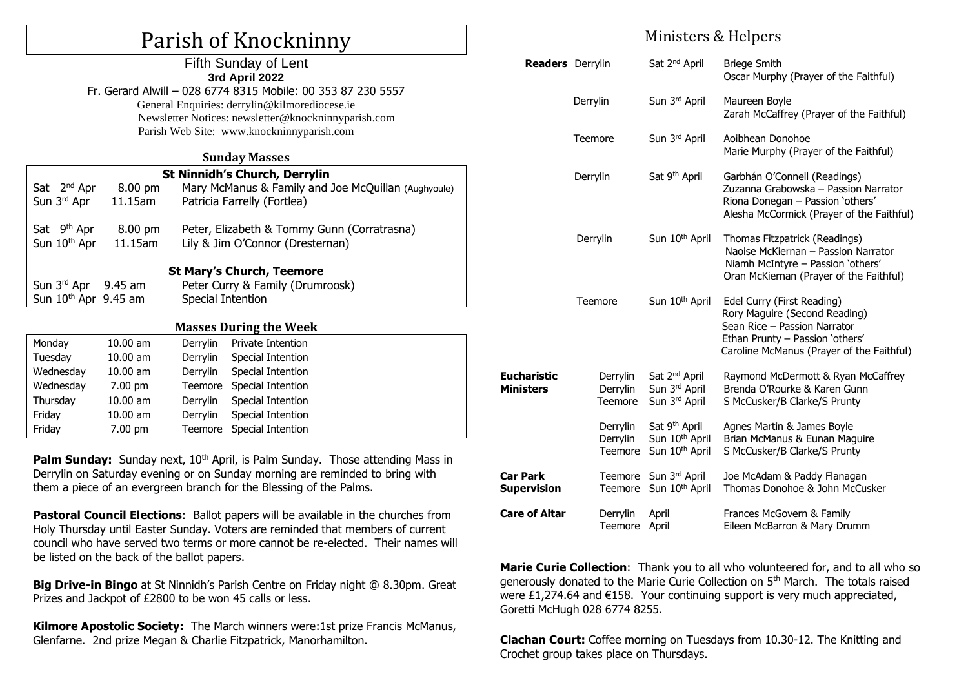# Parish of Knockninny

#### Fifth Sunday of Lent **3rd April 2022** Fr. Gerard Alwill – 028 6774 8315 Mobile: 00 353 87 230 5557

General Enquiries: [derrylin@kilmorediocese.ie](mailto:derrylin@kilmorediocese.ie) Newsletter Notices: newsletter@knockninnyparish.com Parish Web Site: www.knockninnyparish.com

#### **Sunday Masses**

| <b>St Ninnidh's Church, Derrylin</b> |            |                                                     |                            |  |  |  |  |
|--------------------------------------|------------|-----------------------------------------------------|----------------------------|--|--|--|--|
| Sat 2 <sup>nd</sup> Apr              | 8.00 pm    | Mary McManus & Family and Joe McQuillan (Aughyoule) |                            |  |  |  |  |
| Sun 3 <sup>rd</sup> Apr              | 11.15am    | Patricia Farrelly (Fortlea)                         |                            |  |  |  |  |
|                                      |            |                                                     |                            |  |  |  |  |
| Sat 9 <sup>th</sup> Apr              | 8.00 pm    | Peter, Elizabeth & Tommy Gunn (Corratrasna)         |                            |  |  |  |  |
| Sun 10 <sup>th</sup> Apr             | 11.15am    | Lily & Jim O'Connor (Dresternan)                    |                            |  |  |  |  |
|                                      |            |                                                     |                            |  |  |  |  |
| <b>St Mary's Church, Teemore</b>     |            |                                                     |                            |  |  |  |  |
| Sun 3rd Apr 9.45 am                  |            | Peter Curry & Family (Drumroosk)                    |                            |  |  |  |  |
| Sun 10 <sup>th</sup> Apr 9.45 am     |            | Special Intention                                   |                            |  |  |  |  |
|                                      |            |                                                     |                            |  |  |  |  |
| <b>Masses During the Week</b>        |            |                                                     |                            |  |  |  |  |
| Monday                               | $10.00$ am | Derrylin                                            | Private Intention          |  |  |  |  |
| Tuesday                              | $10.00$ am |                                                     | Derrylin Special Intention |  |  |  |  |
| Wednesday                            | $10.00$ am | Derrylin                                            | <b>Special Intention</b>   |  |  |  |  |
| Wednesday                            | 7.00 pm    | Teemore                                             | Special Intention          |  |  |  |  |
| Thursday                             | $10.00$ am | Derrylin                                            | Special Intention          |  |  |  |  |
| Fridav                               | 10.00 am   | <b>Derrylin</b>                                     | Special Intention          |  |  |  |  |

**Palm Sunday:** Sunday next, 10<sup>th</sup> April, is Palm Sunday. Those attending Mass in Derrylin on Saturday evening or on Sunday morning are reminded to bring with them a piece of an evergreen branch for the Blessing of the Palms.

Friday 7.00 pm Teemore Special Intention

**Pastoral Council Elections**: Ballot papers will be available in the churches from Holy Thursday until Easter Sunday. Voters are reminded that members of current council who have served two terms or more cannot be re-elected. Their names will be listed on the back of the ballot papers.

**Big Drive-in Bingo** at St Ninnidh's Parish Centre on Friday night @ 8.30pm. Great Prizes and Jackpot of £2800 to be won 45 calls or less.

**Kilmore Apostolic Society:** The March winners were:1st prize Francis McManus, Glenfarne. 2nd prize Megan & Charlie Fitzpatrick, Manorhamilton.

## Ministers & Helpers

| <b>Readers</b> Derrylin                |                                 | Sat 2 <sup>nd</sup> April                                                             | <b>Briege Smith</b><br>Oscar Murphy (Prayer of the Faithful)                                                                                                                |
|----------------------------------------|---------------------------------|---------------------------------------------------------------------------------------|-----------------------------------------------------------------------------------------------------------------------------------------------------------------------------|
|                                        | Derrylin                        | Sun 3rd April                                                                         | Maureen Boyle<br>Zarah McCaffrey (Prayer of the Faithful)                                                                                                                   |
|                                        | <b>Teemore</b>                  | Sun 3rd April                                                                         | Aoibhean Donohoe<br>Marie Murphy (Prayer of the Faithful)                                                                                                                   |
|                                        | Derrylin                        | Sat 9 <sup>th</sup> April                                                             | Garbhán O'Connell (Readings)<br>Zuzanna Grabowska - Passion Narrator<br>Riona Donegan - Passion 'others'<br>Alesha McCormick (Prayer of the Faithful)                       |
|                                        | Derrylin                        | Sun 10 <sup>th</sup> April                                                            | Thomas Fitzpatrick (Readings)<br>Naoise McKiernan - Passion Narrator<br>Niamh McIntyre - Passion 'others'<br>Oran McKiernan (Prayer of the Faithful)                        |
|                                        | Teemore                         | Sun 10 <sup>th</sup> April                                                            | Edel Curry (First Reading)<br>Rory Maguire (Second Reading)<br>Sean Rice - Passion Narrator<br>Ethan Prunty - Passion 'others'<br>Caroline McManus (Prayer of the Faithful) |
| <b>Eucharistic</b><br><b>Ministers</b> | Derrylin<br>Derrylin<br>Teemore | Sat 2 <sup>nd</sup> April<br>Sun 3rd April<br>Sun 3rd April                           | Raymond McDermott & Ryan McCaffrey<br>Brenda O'Rourke & Karen Gunn<br>S McCusker/B Clarke/S Prunty                                                                          |
|                                        | Derrylin<br>Derrylin<br>Teemore | Sat 9 <sup>th</sup> April<br>Sun 10 <sup>th</sup> April<br>Sun 10 <sup>th</sup> April | Agnes Martin & James Boyle<br>Brian McManus & Eunan Maguire<br>S McCusker/B Clarke/S Prunty                                                                                 |
| <b>Car Park</b><br><b>Supervision</b>  |                                 | Teemore Sun 3rd April<br>Teemore Sun 10th April                                       | Joe McAdam & Paddy Flanagan<br>Thomas Donohoe & John McCusker                                                                                                               |
| <b>Care of Altar</b>                   | Derrylin<br><b>Teemore</b>      | April<br>April                                                                        | Frances McGovern & Family<br>Eileen McBarron & Mary Drumm                                                                                                                   |

**Marie Curie Collection**: Thank you to all who volunteered for, and to all who so generously donated to the Marie Curie Collection on 5th March. The totals raised were £1,274.64 and €158. Your continuing support is very much appreciated, Goretti McHugh 028 6774 8255.

**Clachan Court:** Coffee morning on Tuesdays from 10.30-12. The Knitting and Crochet group takes place on Thursdays.